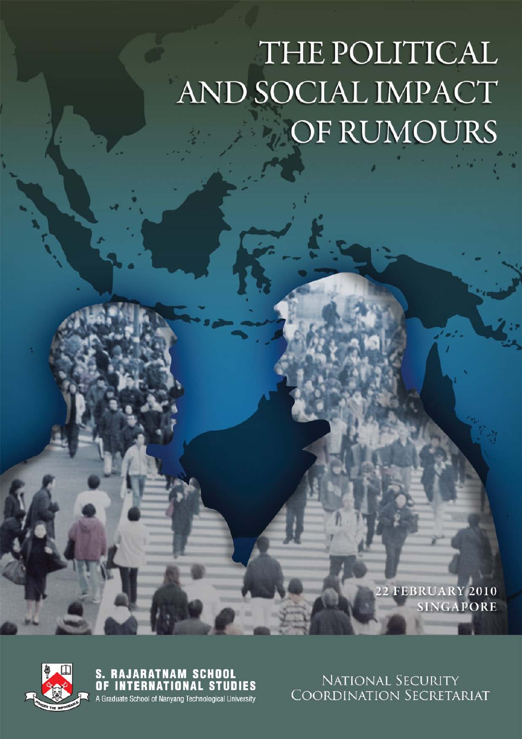# THE POLITICAL AND SOCIAL IMPACT OF RUMOURS

**22 FEBRUARY 2010 SINGAPORE** 



**S. RAJARATNAM SCHOOL<br>OF INTERNATIONAL STUDIES** A Graduate School of Nanyang Technological University

NATIONAL SECURITY COORDINATION SECRETARIAT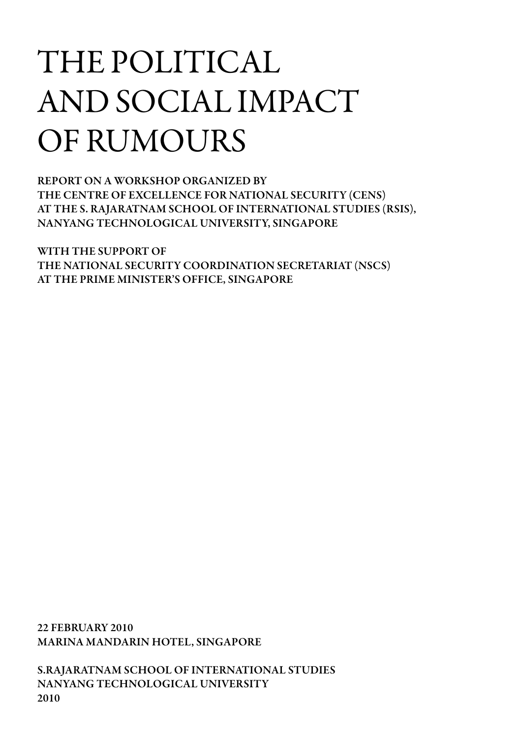# THE POLITICAL AND SOCIAL IMPACT OF RUMOURS

REPORT ON A WORKSHOP ORGANIZED BY THE CENTRE OF EXCELLENCE FOR NATIONAL SECURITY (CENS) AT THE S. RAJARATNAM SCHOOL OF INTERNATIONAL STUDIES (RSIS), NANYANG TECHNOLOGICAL UNIVERSITY, SINGAPORE

WITH THE SUPPORT OF THE NATIONAL SECURITY COORDINATION SECRETARIAT (NSCS) AT THE PRIME MINISTER'S OFFICE, SINGAPORE

22 FEBRUARY 2010 MARINA MANDARIN HOTEL, SINGAPORE

S.RAJARATNAM SCHOOL OF INTERNATIONAL STUDIES NANYANG TECHNOLOGICAL UNIVERSITY 2010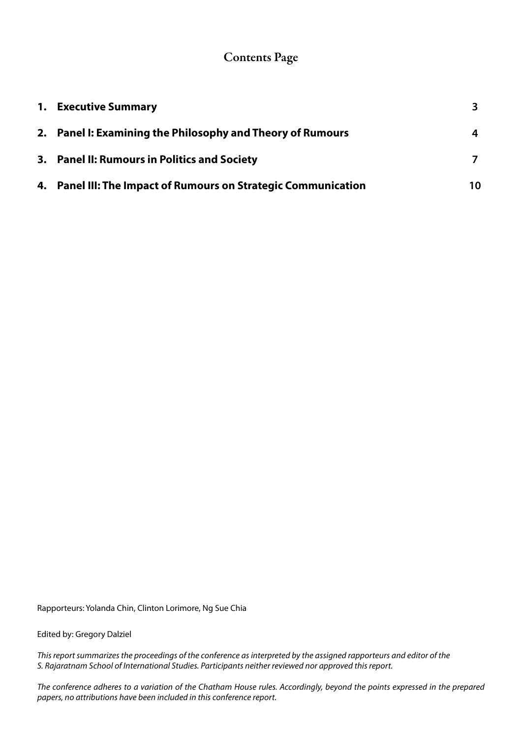# Contents Page

| <b>1.</b> Executive Summary                                    |    |
|----------------------------------------------------------------|----|
| 2. Panel I: Examining the Philosophy and Theory of Rumours     | 4  |
| 3. Panel II: Rumours in Politics and Society                   |    |
| 4. Panel III: The Impact of Rumours on Strategic Communication | 10 |

Rapporteurs: Yolanda Chin, Clinton Lorimore, Ng Sue Chia

Edited by: Gregory Dalziel

*This report summarizes the proceedings of the conference as interpreted by the assigned rapporteurs and editor of the S. Rajaratnam School of International Studies. Participants neither reviewed nor approved this report.*

*The conference adheres to a variation of the Chatham House rules. Accordingly, beyond the points expressed in the prepared papers, no attributions have been included in this conference report.*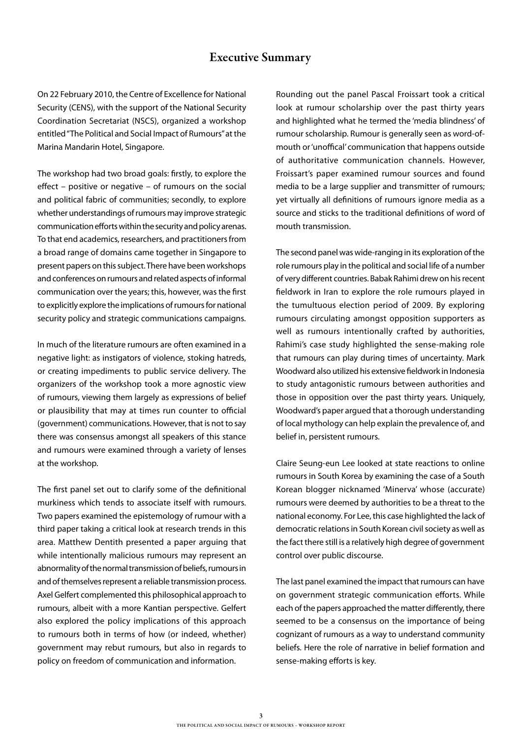#### Executive Summary

On 22 February 2010, the Centre of Excellence for National Security (CENS), with the support of the National Security Coordination Secretariat (NSCS), organized a workshop entitled "The Political and Social Impact of Rumours" at the Marina Mandarin Hotel, Singapore.

The workshop had two broad goals: firstly, to explore the effect – positive or negative – of rumours on the social and political fabric of communities; secondly, to explore whether understandings of rumours may improve strategic communication efforts within the security and policy arenas. To that end academics, researchers, and practitioners from a broad range of domains came together in Singapore to present papers on this subject. There have been workshops and conferences on rumours and related aspects of informal communication over the years; this, however, was the first to explicitly explore the implications of rumours for national security policy and strategic communications campaigns.

In much of the literature rumours are often examined in a negative light: as instigators of violence, stoking hatreds, or creating impediments to public service delivery. The organizers of the workshop took a more agnostic view of rumours, viewing them largely as expressions of belief or plausibility that may at times run counter to official (government) communications. However, that is not to say there was consensus amongst all speakers of this stance and rumours were examined through a variety of lenses at the workshop.

The first panel set out to clarify some of the definitional murkiness which tends to associate itself with rumours. Two papers examined the epistemology of rumour with a third paper taking a critical look at research trends in this area. Matthew Dentith presented a paper arguing that while intentionally malicious rumours may represent an abnormality of the normal transmission of beliefs, rumours in and of themselves represent a reliable transmission process. Axel Gelfert complemented this philosophical approach to rumours, albeit with a more Kantian perspective. Gelfert also explored the policy implications of this approach to rumours both in terms of how (or indeed, whether) government may rebut rumours, but also in regards to policy on freedom of communication and information.

Rounding out the panel Pascal Froissart took a critical look at rumour scholarship over the past thirty years and highlighted what he termed the 'media blindness' of rumour scholarship. Rumour is generally seen as word-ofmouth or 'unoffical' communication that happens outside of authoritative communication channels. However, Froissart's paper examined rumour sources and found media to be a large supplier and transmitter of rumours; yet virtually all definitions of rumours ignore media as a source and sticks to the traditional definitions of word of mouth transmission.

The second panel was wide-ranging in its exploration of the role rumours play in the political and social life of a number of very different countries. Babak Rahimi drew on his recent fieldwork in Iran to explore the role rumours played in the tumultuous election period of 2009. By exploring rumours circulating amongst opposition supporters as well as rumours intentionally crafted by authorities, Rahimi's case study highlighted the sense-making role that rumours can play during times of uncertainty. Mark Woodward also utilized his extensive fieldwork in Indonesia to study antagonistic rumours between authorities and those in opposition over the past thirty years. Uniquely, Woodward's paper argued that a thorough understanding of local mythology can help explain the prevalence of, and belief in, persistent rumours.

Claire Seung-eun Lee looked at state reactions to online rumours in South Korea by examining the case of a South Korean blogger nicknamed 'Minerva' whose (accurate) rumours were deemed by authorities to be a threat to the national economy. For Lee, this case highlighted the lack of democratic relations in South Korean civil society as well as the fact there still is a relatively high degree of government control over public discourse.

The last panel examined the impact that rumours can have on government strategic communication efforts. While each of the papers approached the matter differently, there seemed to be a consensus on the importance of being cognizant of rumours as a way to understand community beliefs. Here the role of narrative in belief formation and sense-making efforts is key.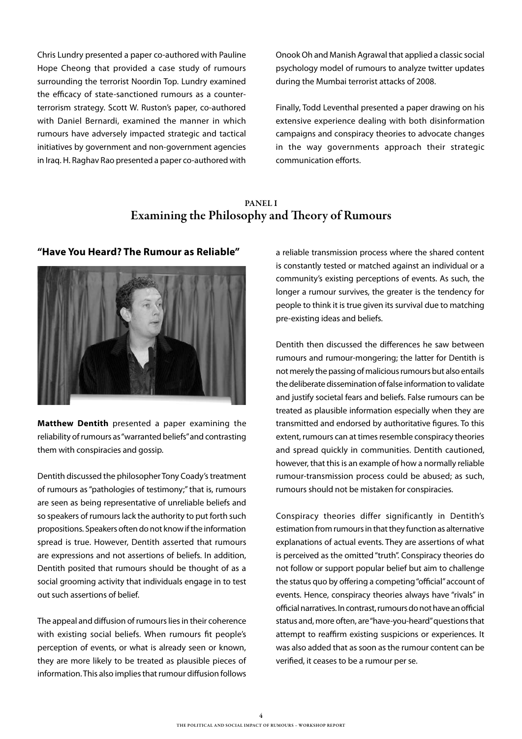Chris Lundry presented a paper co-authored with Pauline Hope Cheong that provided a case study of rumours surrounding the terrorist Noordin Top. Lundry examined the efficacy of state-sanctioned rumours as a counterterrorism strategy. Scott W. Ruston's paper, co-authored with Daniel Bernardi, examined the manner in which rumours have adversely impacted strategic and tactical initiatives by government and non-government agencies in Iraq. H. Raghav Rao presented a paper co-authored with Onook Oh and Manish Agrawal that applied a classic social psychology model of rumours to analyze twitter updates during the Mumbai terrorist attacks of 2008.

Finally, Todd Leventhal presented a paper drawing on his extensive experience dealing with both disinformation campaigns and conspiracy theories to advocate changes in the way governments approach their strategic communication efforts.

#### PANEL I Examining the Philosophy and Theory of Rumours



**Matthew Dentith** presented a paper examining the reliability of rumours as "warranted beliefs" and contrasting them with conspiracies and gossip.

Dentith discussed the philosopher Tony Coady's treatment of rumours as "pathologies of testimony;" that is, rumours are seen as being representative of unreliable beliefs and so speakers of rumours lack the authority to put forth such propositions. Speakers often do not know if the information spread is true. However, Dentith asserted that rumours are expressions and not assertions of beliefs. In addition, Dentith posited that rumours should be thought of as a social grooming activity that individuals engage in to test out such assertions of belief.

The appeal and diffusion of rumours lies in their coherence with existing social beliefs. When rumours fit people's perception of events, or what is already seen or known, they are more likely to be treated as plausible pieces of information. This also implies that rumour diffusion follows

"Have You Heard? The Rumour as Reliable" a reliable transmission process where the shared content is constantly tested or matched against an individual or a community's existing perceptions of events. As such, the longer a rumour survives, the greater is the tendency for people to think it is true given its survival due to matching pre-existing ideas and beliefs.

> Dentith then discussed the differences he saw between rumours and rumour-mongering; the latter for Dentith is not merely the passing of malicious rumours but also entails the deliberate dissemination of false information to validate and justify societal fears and beliefs. False rumours can be treated as plausible information especially when they are transmitted and endorsed by authoritative figures. To this extent, rumours can at times resemble conspiracy theories and spread quickly in communities. Dentith cautioned, however, that this is an example of how a normally reliable rumour-transmission process could be abused; as such, rumours should not be mistaken for conspiracies.

> Conspiracy theories differ significantly in Dentith's estimation from rumours in that they function as alternative explanations of actual events. They are assertions of what is perceived as the omitted "truth". Conspiracy theories do not follow or support popular belief but aim to challenge the status quo by offering a competing "official" account of events. Hence, conspiracy theories always have "rivals" in official narratives. In contrast, rumours do not have an official status and, more often, are "have-you-heard" questions that attempt to reaffirm existing suspicions or experiences. It was also added that as soon as the rumour content can be verified, it ceases to be a rumour per se.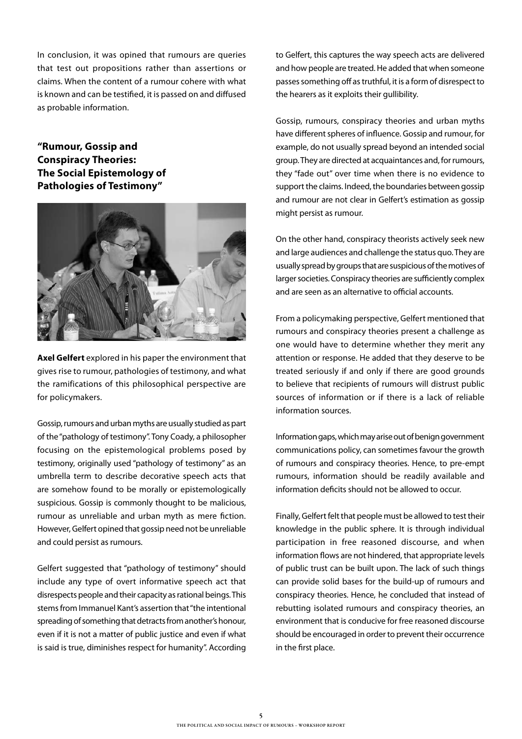In conclusion, it was opined that rumours are queries that test out propositions rather than assertions or claims. When the content of a rumour cohere with what is known and can be testified, it is passed on and diffused as probable information.

#### **"Rumour, Gossip and Conspiracy Theories: The Social Epistemology of Pathologies of Testimony"**



**Axel Gelfert** explored in his paper the environment that gives rise to rumour, pathologies of testimony, and what the ramifications of this philosophical perspective are for policymakers.

Gossip, rumours and urban myths are usually studied as part of the "pathology of testimony". Tony Coady, a philosopher focusing on the epistemological problems posed by testimony, originally used "pathology of testimony" as an umbrella term to describe decorative speech acts that are somehow found to be morally or epistemologically suspicious. Gossip is commonly thought to be malicious, rumour as unreliable and urban myth as mere fiction. However, Gelfert opined that gossip need not be unreliable and could persist as rumours.

Gelfert suggested that "pathology of testimony" should include any type of overt informative speech act that disrespects people and their capacity as rational beings. This stems from Immanuel Kant's assertion that "the intentional spreading of something that detracts from another's honour, even if it is not a matter of public justice and even if what is said is true, diminishes respect for humanity". According

to Gelfert, this captures the way speech acts are delivered and how people are treated. He added that when someone passes something off as truthful, it is a form of disrespect to the hearers as it exploits their gullibility.

Gossip, rumours, conspiracy theories and urban myths have different spheres of influence. Gossip and rumour, for example, do not usually spread beyond an intended social group. They are directed at acquaintances and, for rumours, they "fade out" over time when there is no evidence to support the claims. Indeed, the boundaries between gossip and rumour are not clear in Gelfert's estimation as gossip might persist as rumour.

On the other hand, conspiracy theorists actively seek new and large audiences and challenge the status quo. They are usually spread by groups that are suspicious of the motives of larger societies. Conspiracy theories are sufficiently complex and are seen as an alternative to official accounts.

From a policymaking perspective, Gelfert mentioned that rumours and conspiracy theories present a challenge as one would have to determine whether they merit any attention or response. He added that they deserve to be treated seriously if and only if there are good grounds to believe that recipients of rumours will distrust public sources of information or if there is a lack of reliable information sources.

Information gaps, which may arise out of benign government communications policy, can sometimes favour the growth of rumours and conspiracy theories. Hence, to pre-empt rumours, information should be readily available and information deficits should not be allowed to occur.

Finally, Gelfert felt that people must be allowed to test their knowledge in the public sphere. It is through individual participation in free reasoned discourse, and when information flows are not hindered, that appropriate levels of public trust can be built upon. The lack of such things can provide solid bases for the build-up of rumours and conspiracy theories. Hence, he concluded that instead of rebutting isolated rumours and conspiracy theories, an environment that is conducive for free reasoned discourse should be encouraged in order to prevent their occurrence in the first place.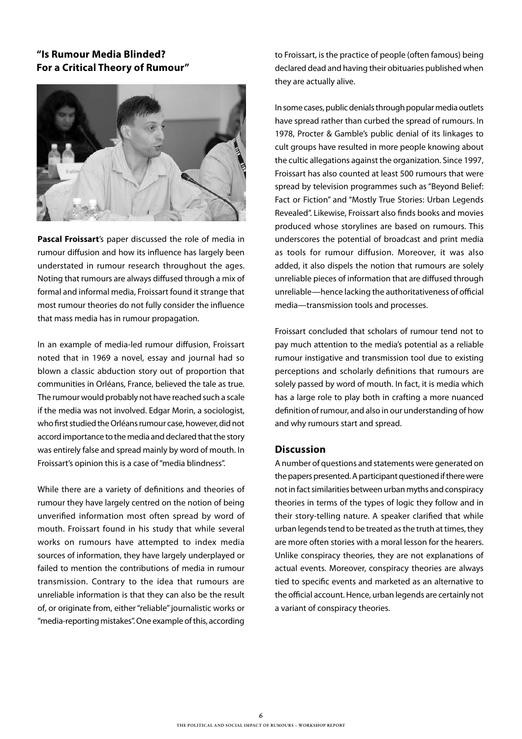#### **"Is Rumour Media Blinded? For a Critical Theory of Rumour"**



**Pascal Froissart**'s paper discussed the role of media in rumour diffusion and how its influence has largely been understated in rumour research throughout the ages. Noting that rumours are always diffused through a mix of formal and informal media, Froissart found it strange that most rumour theories do not fully consider the influence that mass media has in rumour propagation.

In an example of media-led rumour diffusion, Froissart noted that in 1969 a novel, essay and journal had so blown a classic abduction story out of proportion that communities in Orléans, France, believed the tale as true. The rumour would probably not have reached such a scale if the media was not involved. Edgar Morin, a sociologist, who first studied the Orléans rumour case, however, did not accord importance to the media and declared that the story was entirely false and spread mainly by word of mouth. In Froissart's opinion this is a case of "media blindness".

While there are a variety of definitions and theories of rumour they have largely centred on the notion of being unverified information most often spread by word of mouth. Froissart found in his study that while several works on rumours have attempted to index media sources of information, they have largely underplayed or failed to mention the contributions of media in rumour transmission. Contrary to the idea that rumours are unreliable information is that they can also be the result of, or originate from, either "reliable" journalistic works or "media-reporting mistakes". One example of this, according

to Froissart, is the practice of people (often famous) being declared dead and having their obituaries published when they are actually alive.

In some cases, public denials through popular media outlets have spread rather than curbed the spread of rumours. In 1978, Procter & Gamble's public denial of its linkages to cult groups have resulted in more people knowing about the cultic allegations against the organization. Since 1997, Froissart has also counted at least 500 rumours that were spread by television programmes such as "Beyond Belief: Fact or Fiction" and "Mostly True Stories: Urban Legends Revealed". Likewise, Froissart also finds books and movies produced whose storylines are based on rumours. This underscores the potential of broadcast and print media as tools for rumour diffusion. Moreover, it was also added, it also dispels the notion that rumours are solely unreliable pieces of information that are diffused through unreliable—hence lacking the authoritativeness of official media—transmission tools and processes.

Froissart concluded that scholars of rumour tend not to pay much attention to the media's potential as a reliable rumour instigative and transmission tool due to existing perceptions and scholarly definitions that rumours are solely passed by word of mouth. In fact, it is media which has a large role to play both in crafting a more nuanced definition of rumour, and also in our understanding of how and why rumours start and spread.

#### **Discussion**

A number of questions and statements were generated on the papers presented. A participant questioned if there were not in fact similarities between urban myths and conspiracy theories in terms of the types of logic they follow and in their story-telling nature. A speaker clarified that while urban legends tend to be treated as the truth at times, they are more often stories with a moral lesson for the hearers. Unlike conspiracy theories, they are not explanations of actual events. Moreover, conspiracy theories are always tied to specific events and marketed as an alternative to the official account. Hence, urban legends are certainly not a variant of conspiracy theories.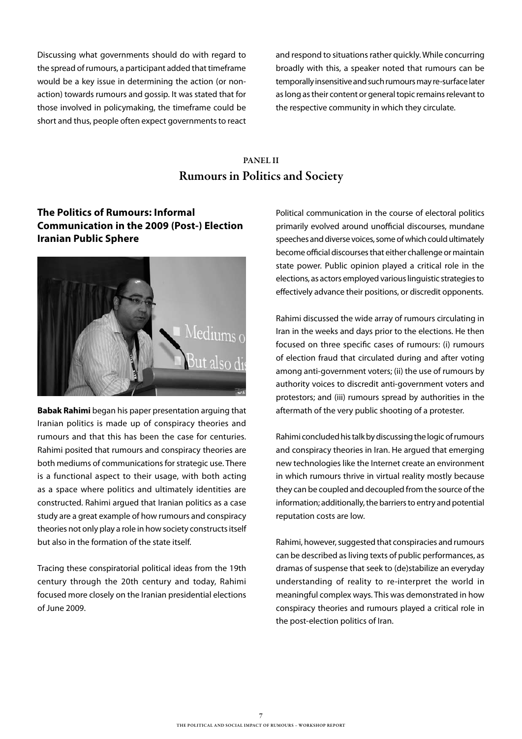Discussing what governments should do with regard to the spread of rumours, a participant added that timeframe would be a key issue in determining the action (or nonaction) towards rumours and gossip. It was stated that for those involved in policymaking, the timeframe could be short and thus, people often expect governments to react and respond to situations rather quickly. While concurring broadly with this, a speaker noted that rumours can be temporally insensitive and such rumours may re-surface later as long as their content or general topic remains relevant to the respective community in which they circulate.

# PANEL II Rumours in Politics and Society

#### **The Politics of Rumours: Informal Communication in the 2009 (Post-) Election Iranian Public Sphere**



**Babak Rahimi** began his paper presentation arguing that Iranian politics is made up of conspiracy theories and rumours and that this has been the case for centuries. Rahimi posited that rumours and conspiracy theories are both mediums of communications for strategic use. There is a functional aspect to their usage, with both acting as a space where politics and ultimately identities are constructed. Rahimi argued that Iranian politics as a case study are a great example of how rumours and conspiracy theories not only play a role in how society constructs itself but also in the formation of the state itself.

Tracing these conspiratorial political ideas from the 19th century through the 20th century and today, Rahimi focused more closely on the Iranian presidential elections of June 2009.

Political communication in the course of electoral politics primarily evolved around unofficial discourses, mundane speeches and diverse voices, some of which could ultimately become official discourses that either challenge or maintain state power. Public opinion played a critical role in the elections, as actors employed various linguistic strategies to effectively advance their positions, or discredit opponents.

Rahimi discussed the wide array of rumours circulating in Iran in the weeks and days prior to the elections. He then focused on three specific cases of rumours: (i) rumours of election fraud that circulated during and after voting among anti-government voters; (ii) the use of rumours by authority voices to discredit anti-government voters and protestors; and (iii) rumours spread by authorities in the aftermath of the very public shooting of a protester.

Rahimi concluded his talk by discussing the logic of rumours and conspiracy theories in Iran. He argued that emerging new technologies like the Internet create an environment in which rumours thrive in virtual reality mostly because they can be coupled and decoupled from the source of the information; additionally, the barriers to entry and potential reputation costs are low.

Rahimi, however, suggested that conspiracies and rumours can be described as living texts of public performances, as dramas of suspense that seek to (de)stabilize an everyday understanding of reality to re-interpret the world in meaningful complex ways. This was demonstrated in how conspiracy theories and rumours played a critical role in the post-election politics of Iran.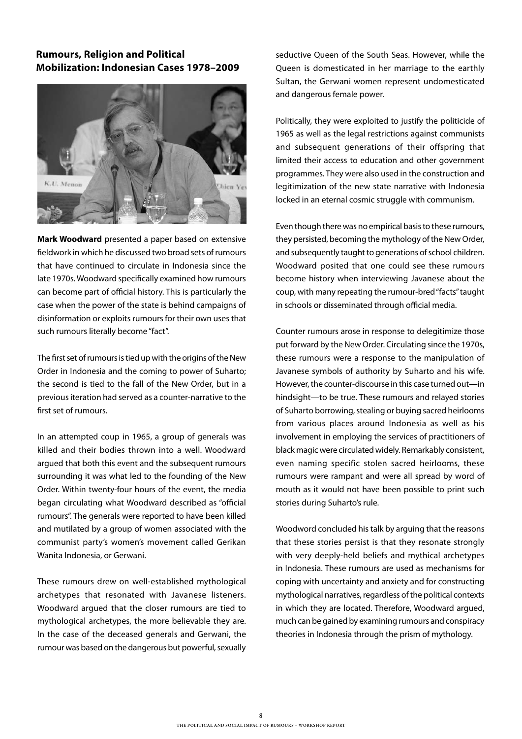#### **Rumours, Religion and Political Mobilization: Indonesian Cases 1978–2009**



**Mark Woodward** presented a paper based on extensive fieldwork in which he discussed two broad sets of rumours that have continued to circulate in Indonesia since the late 1970s. Woodward specifically examined how rumours can become part of official history. This is particularly the case when the power of the state is behind campaigns of disinformation or exploits rumours for their own uses that such rumours literally become "fact".

The first set of rumours is tied up with the origins of the New Order in Indonesia and the coming to power of Suharto; the second is tied to the fall of the New Order, but in a previous iteration had served as a counter-narrative to the first set of rumours.

In an attempted coup in 1965, a group of generals was killed and their bodies thrown into a well. Woodward argued that both this event and the subsequent rumours surrounding it was what led to the founding of the New Order. Within twenty-four hours of the event, the media began circulating what Woodward described as "official rumours". The generals were reported to have been killed and mutilated by a group of women associated with the communist party's women's movement called Gerikan Wanita Indonesia, or Gerwani.

These rumours drew on well-established mythological archetypes that resonated with Javanese listeners. Woodward argued that the closer rumours are tied to mythological archetypes, the more believable they are. In the case of the deceased generals and Gerwani, the rumour was based on the dangerous but powerful, sexually seductive Queen of the South Seas. However, while the Queen is domesticated in her marriage to the earthly Sultan, the Gerwani women represent undomesticated and dangerous female power.

Politically, they were exploited to justify the politicide of 1965 as well as the legal restrictions against communists and subsequent generations of their offspring that limited their access to education and other government programmes. They were also used in the construction and legitimization of the new state narrative with Indonesia locked in an eternal cosmic struggle with communism.

Even though there was no empirical basis to these rumours, they persisted, becoming the mythology of the New Order, and subsequently taught to generations of school children. Woodward posited that one could see these rumours become history when interviewing Javanese about the coup, with many repeating the rumour-bred "facts" taught in schools or disseminated through official media.

Counter rumours arose in response to delegitimize those put forward by the New Order. Circulating since the 1970s, these rumours were a response to the manipulation of Javanese symbols of authority by Suharto and his wife. However, the counter-discourse in this case turned out—in hindsight—to be true. These rumours and relayed stories of Suharto borrowing, stealing or buying sacred heirlooms from various places around Indonesia as well as his involvement in employing the services of practitioners of black magic were circulated widely. Remarkably consistent, even naming specific stolen sacred heirlooms, these rumours were rampant and were all spread by word of mouth as it would not have been possible to print such stories during Suharto's rule.

Woodword concluded his talk by arguing that the reasons that these stories persist is that they resonate strongly with very deeply-held beliefs and mythical archetypes in Indonesia. These rumours are used as mechanisms for coping with uncertainty and anxiety and for constructing mythological narratives, regardless of the political contexts in which they are located. Therefore, Woodward argued, much can be gained by examining rumours and conspiracy theories in Indonesia through the prism of mythology.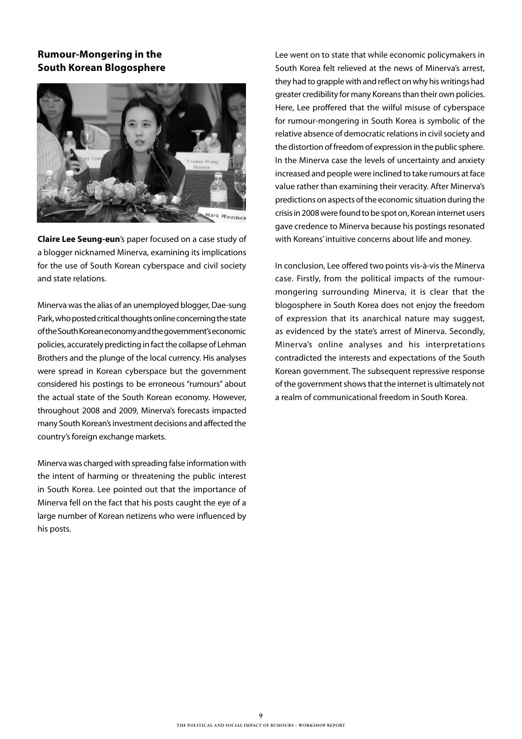#### **Rumour-Mongering in the South Korean Blogosphere**



**Claire Lee Seung-eun**'s paper focused on a case study of a blogger nicknamed Minerva, examining its implications for the use of South Korean cyberspace and civil society and state relations.

Minerva was the alias of an unemployed blogger, Dae-sung Park, who posted critical thoughts online concerning the state of the South Korean economy and the government's economic policies, accurately predicting in fact the collapse of Lehman Brothers and the plunge of the local currency. His analyses were spread in Korean cyberspace but the government considered his postings to be erroneous "rumours" about the actual state of the South Korean economy. However, throughout 2008 and 2009, Minerva's forecasts impacted many South Korean's investment decisions and affected the country's foreign exchange markets.

Minerva was charged with spreading false information with the intent of harming or threatening the public interest in South Korea. Lee pointed out that the importance of Minerva fell on the fact that his posts caught the eye of a large number of Korean netizens who were influenced by his posts.

Lee went on to state that while economic policymakers in South Korea felt relieved at the news of Minerva's arrest, they had to grapple with and reflect on why his writings had greater credibility for many Koreans than their own policies. Here, Lee proffered that the wilful misuse of cyberspace for rumour-mongering in South Korea is symbolic of the relative absence of democratic relations in civil society and the distortion of freedom of expression in the public sphere. In the Minerva case the levels of uncertainty and anxiety increased and people were inclined to take rumours at face value rather than examining their veracity. After Minerva's predictions on aspects of the economic situation during the crisis in 2008 were found to be spot on, Korean internet users gave credence to Minerva because his postings resonated with Koreans' intuitive concerns about life and money.

In conclusion, Lee offered two points vis-à-vis the Minerva case. Firstly, from the political impacts of the rumourmongering surrounding Minerva, it is clear that the blogosphere in South Korea does not enjoy the freedom of expression that its anarchical nature may suggest, as evidenced by the state's arrest of Minerva. Secondly, Minerva's online analyses and his interpretations contradicted the interests and expectations of the South Korean government. The subsequent repressive response of the government shows that the internet is ultimately not a realm of communicational freedom in South Korea.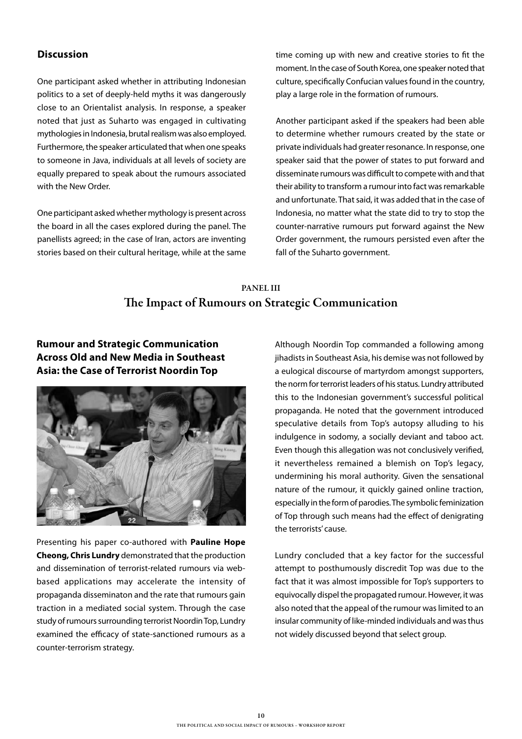#### **Discussion**

One participant asked whether in attributing Indonesian politics to a set of deeply-held myths it was dangerously close to an Orientalist analysis. In response, a speaker noted that just as Suharto was engaged in cultivating mythologies in Indonesia, brutal realism was also employed. Furthermore, the speaker articulated that when one speaks to someone in Java, individuals at all levels of society are equally prepared to speak about the rumours associated with the New Order.

One participant asked whether mythology is present across the board in all the cases explored during the panel. The panellists agreed; in the case of Iran, actors are inventing stories based on their cultural heritage, while at the same time coming up with new and creative stories to fit the moment. In the case of South Korea, one speaker noted that culture, specifically Confucian values found in the country, play a large role in the formation of rumours.

Another participant asked if the speakers had been able to determine whether rumours created by the state or private individuals had greater resonance. In response, one speaker said that the power of states to put forward and disseminate rumours was difficult to compete with and that their ability to transform a rumour into fact was remarkable and unfortunate. That said, it was added that in the case of Indonesia, no matter what the state did to try to stop the counter-narrative rumours put forward against the New Order government, the rumours persisted even after the fall of the Suharto government.

## PANEL III The Impact of Rumours on Strategic Communication

#### **Rumour and Strategic Communication Across Old and New Media in Southeast Asia: the Case of Terrorist Noordin Top**



Presenting his paper co-authored with **Pauline Hope Cheong, Chris Lundry** demonstrated that the production and dissemination of terrorist-related rumours via webbased applications may accelerate the intensity of propaganda disseminaton and the rate that rumours gain traction in a mediated social system. Through the case study of rumours surrounding terrorist Noordin Top, Lundry examined the efficacy of state-sanctioned rumours as a counter-terrorism strategy.

Although Noordin Top commanded a following among jihadists in Southeast Asia, his demise was not followed by a eulogical discourse of martyrdom amongst supporters, the norm for terrorist leaders of his status. Lundry attributed this to the Indonesian government's successful political propaganda. He noted that the government introduced speculative details from Top's autopsy alluding to his indulgence in sodomy, a socially deviant and taboo act. Even though this allegation was not conclusively verified, it nevertheless remained a blemish on Top's legacy, undermining his moral authority. Given the sensational nature of the rumour, it quickly gained online traction, especially in the form of parodies. The symbolic feminization of Top through such means had the effect of denigrating the terrorists' cause.

Lundry concluded that a key factor for the successful attempt to posthumously discredit Top was due to the fact that it was almost impossible for Top's supporters to equivocally dispel the propagated rumour. However, it was also noted that the appeal of the rumour was limited to an insular community of like-minded individuals and was thus not widely discussed beyond that select group.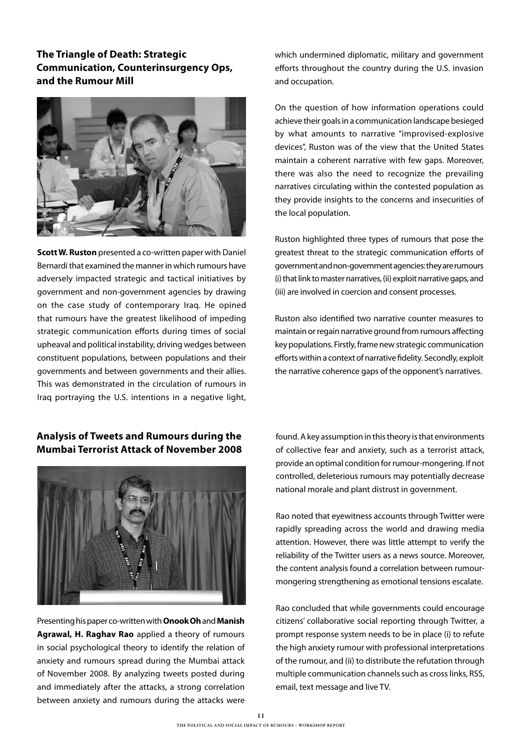#### **The Triangle of Death: Strategic Communication, Counterinsurgency Ops, and the Rumour Mill**



**Scott W. Ruston** presented a co-written paper with Daniel Bernardi that examined the manner in which rumours have adversely impacted strategic and tactical initiatives by government and non-government agencies by drawing on the case study of contemporary Iraq. He opined that rumours have the greatest likelihood of impeding strategic communication efforts during times of social upheaval and political instability, driving wedges between constituent populations, between populations and their governments and between governments and their allies. This was demonstrated in the circulation of rumours in Iraq portraying the U.S. intentions in a negative light,

#### **Analysis of Tweets and Rumours during the Mumbai Terrorist Attack of November 2008**



Presenting his paper co-written with **Onook Oh** and **Manish Agrawal, H. Raghav Rao** applied a theory of rumours in social psychological theory to identify the relation of anxiety and rumours spread during the Mumbai attack of November 2008. By analyzing tweets posted during and immediately after the attacks, a strong correlation between anxiety and rumours during the attacks were

which undermined diplomatic, military and government efforts throughout the country during the U.S. invasion and occupation.

On the question of how information operations could achieve their goals in a communication landscape besieged by what amounts to narrative "improvised-explosive devices", Ruston was of the view that the United States maintain a coherent narrative with few gaps. Moreover, there was also the need to recognize the prevailing narratives circulating within the contested population as they provide insights to the concerns and insecurities of the local population.

Ruston highlighted three types of rumours that pose the greatest threat to the strategic communication efforts of government and non-government agencies: they are rumours (i) that link to master narratives, (ii) exploit narrative gaps, and (iii) are involved in coercion and consent processes.

Ruston also identified two narrative counter measures to maintain or regain narrative ground from rumours affecting key populations. Firstly, frame new strategic communication efforts within a context of narrative fidelity. Secondly, exploit the narrative coherence gaps of the opponent's narratives.

found. A key assumption in this theory is that environments of collective fear and anxiety, such as a terrorist attack, provide an optimal condition for rumour-mongering. If not controlled, deleterious rumours may potentially decrease national morale and plant distrust in government.

Rao noted that eyewitness accounts through Twitter were rapidly spreading across the world and drawing media attention. However, there was little attempt to verify the reliability of the Twitter users as a news source. Moreover, the content analysis found a correlation between rumourmongering strengthening as emotional tensions escalate.

Rao concluded that while governments could encourage citizens' collaborative social reporting through Twitter, a prompt response system needs to be in place (i) to refute the high anxiety rumour with professional interpretations of the rumour, and (ii) to distribute the refutation through multiple communication channels such as cross links, RSS, email, text message and live TV.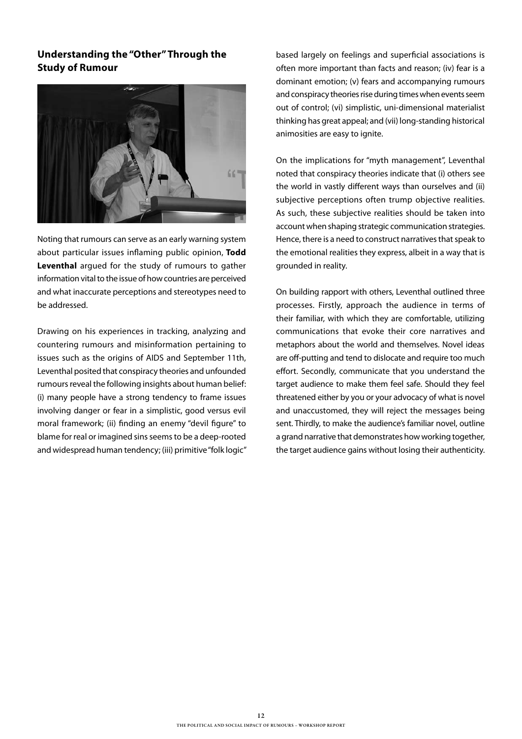#### **Understanding the "Other" Through the Study of Rumour**



Noting that rumours can serve as an early warning system about particular issues inflaming public opinion, **Todd Leventhal** argued for the study of rumours to gather information vital to the issue of how countries are perceived and what inaccurate perceptions and stereotypes need to be addressed.

Drawing on his experiences in tracking, analyzing and countering rumours and misinformation pertaining to issues such as the origins of AIDS and September 11th, Leventhal posited that conspiracy theories and unfounded rumours reveal the following insights about human belief: (i) many people have a strong tendency to frame issues involving danger or fear in a simplistic, good versus evil moral framework; (ii) finding an enemy "devil figure" to blame for real or imagined sins seems to be a deep-rooted and widespread human tendency: (iii) primitive "folk logic"

based largely on feelings and superficial associations is often more important than facts and reason; (iv) fear is a dominant emotion; (v) fears and accompanying rumours and conspiracy theories rise during times when events seem out of control; (vi) simplistic, uni-dimensional materialist thinking has great appeal; and (vii) long-standing historical animosities are easy to ignite.

On the implications for "myth management", Leventhal noted that conspiracy theories indicate that (i) others see the world in vastly different ways than ourselves and (ii) subjective perceptions often trump objective realities. As such, these subjective realities should be taken into account when shaping strategic communication strategies. Hence, there is a need to construct narratives that speak to the emotional realities they express, albeit in a way that is grounded in reality.

On building rapport with others, Leventhal outlined three processes. Firstly, approach the audience in terms of their familiar, with which they are comfortable, utilizing communications that evoke their core narratives and metaphors about the world and themselves. Novel ideas are off-putting and tend to dislocate and require too much effort. Secondly, communicate that you understand the target audience to make them feel safe. Should they feel threatened either by you or your advocacy of what is novel and unaccustomed, they will reject the messages being sent. Thirdly, to make the audience's familiar novel, outline a grand narrative that demonstrates how working together, the target audience gains without losing their authenticity.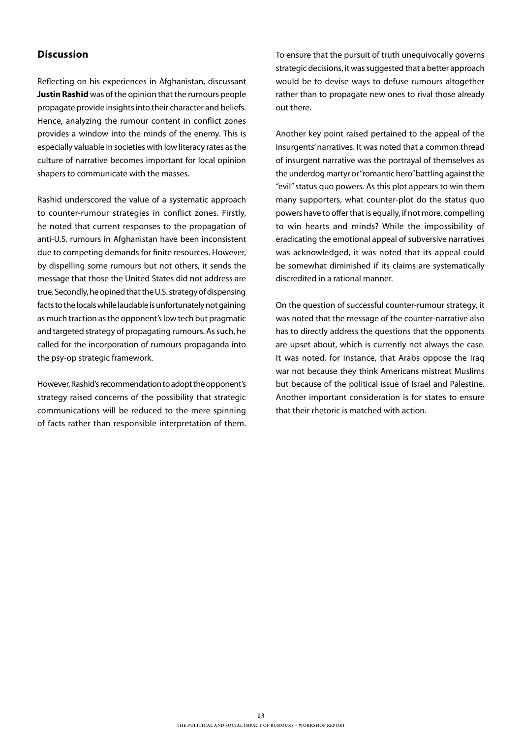#### **Discussion**

Reflecting on his experiences in Afghanistan, discussant **Justin Rashid** was of the opinion that the rumours people propagate provide insights into their character and beliefs. Hence, analyzing the rumour content in conflict zones provides a window into the minds of the enemy. This is especially valuable in societies with low literacy rates as the culture of narrative becomes important for local opinion shapers to communicate with the masses.

Rashid underscored the value of a systematic approach to counter-rumour strategies in conflict zones. Firstly, he noted that current responses to the propagation of anti-U.S. rumours in Afghanistan have been inconsistent due to competing demands for finite resources. However, by dispelling some rumours but not others, it sends the message that those the United States did not address are true. Secondly, he opined that the U.S. strategy of dispensing facts to the locals while laudable is unfortunately not gaining as much traction as the opponent's low tech but pragmatic and targeted strategy of propagating rumours. As such, he called for the incorporation of rumours propaganda into the psy-op strategic framework.

However, Rashid's recommendation to adopt the opponent's strategy raised concerns of the possibility that strategic communications will be reduced to the mere spinning of facts rather than responsible interpretation of them. To ensure that the pursuit of truth unequivocally governs strategic decisions, it was suggested that a better approach would be to devise ways to defuse rumours altogether rather than to propagate new ones to rival those already out there.

Another key point raised pertained to the appeal of the insurgents' narratives. It was noted that a common thread of insurgent narrative was the portrayal of themselves as the underdog martyr or "romantic hero" battling against the "evil" status quo powers. As this plot appears to win them many supporters, what counter-plot do the status quo powers have to offer that is equally, if not more, compelling to win hearts and minds? While the impossibility of eradicating the emotional appeal of subversive narratives was acknowledged, it was noted that its appeal could be somewhat diminished if its claims are systematically discredited in a rational manner.

On the question of successful counter-rumour strategy, it was noted that the message of the counter-narrative also has to directly address the questions that the opponents are upset about, which is currently not always the case. It was noted, for instance, that Arabs oppose the Iraq war not because they think Americans mistreat Muslims but because of the political issue of Israel and Palestine. Another important consideration is for states to ensure that their rhetoric is matched with action.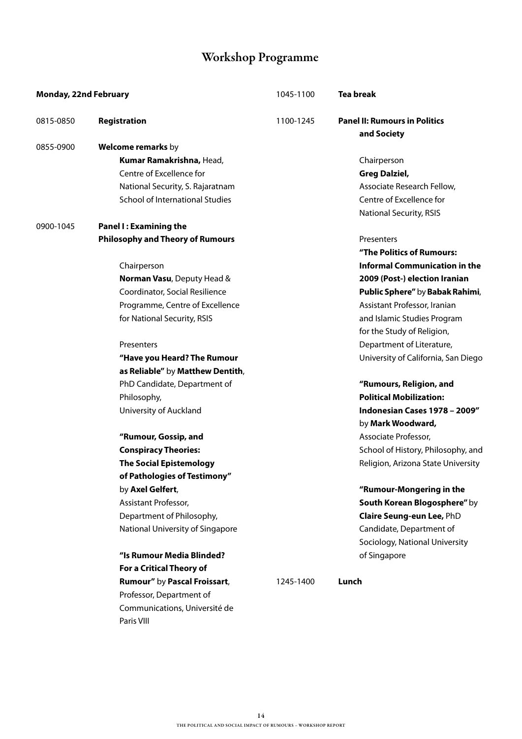# Workshop Programme

| <b>Monday, 22nd February</b> |                                         | 1045-1100 | <b>Tea break</b>                                    |
|------------------------------|-----------------------------------------|-----------|-----------------------------------------------------|
| 0815-0850                    | Registration                            | 1100-1245 | <b>Panel II: Rumours in Politics</b><br>and Society |
| 0855-0900                    | Welcome remarks by                      |           |                                                     |
|                              | Kumar Ramakrishna, Head,                |           | Chairperson                                         |
|                              | Centre of Excellence for                |           | <b>Greg Dalziel,</b>                                |
|                              | National Security, S. Rajaratnam        |           | Associate Research Fellow,                          |
|                              | School of International Studies         |           | Centre of Excellence for                            |
|                              |                                         |           | <b>National Security, RSIS</b>                      |
| 0900-1045                    | <b>Panel I: Examining the</b>           |           |                                                     |
|                              | <b>Philosophy and Theory of Rumours</b> |           | Presenters                                          |
|                              |                                         |           | "The Politics of Rumours:                           |
|                              | Chairperson                             |           | <b>Informal Communication in the</b>                |
|                              | Norman Vasu, Deputy Head &              |           | 2009 (Post-) election Iranian                       |
|                              | Coordinator, Social Resilience          |           | Public Sphere" by Babak Rahimi,                     |
|                              | Programme, Centre of Excellence         |           | Assistant Professor, Iranian                        |
|                              | for National Security, RSIS             |           | and Islamic Studies Program                         |
|                              |                                         |           | for the Study of Religion,                          |
|                              | Presenters                              |           | Department of Literature,                           |
|                              | "Have you Heard? The Rumour             |           | University of California, San Diego                 |
|                              | as Reliable" by Matthew Dentith,        |           |                                                     |
|                              | PhD Candidate, Department of            |           | "Rumours, Religion, and                             |
|                              | Philosophy,                             |           | <b>Political Mobilization:</b>                      |
|                              | University of Auckland                  |           | Indonesian Cases 1978 - 2009"                       |
|                              |                                         |           | by Mark Woodward,                                   |
|                              | "Rumour, Gossip, and                    |           | Associate Professor,                                |
|                              | <b>Conspiracy Theories:</b>             |           | School of History, Philosophy, and                  |
|                              | <b>The Social Epistemology</b>          |           | Religion, Arizona State University                  |
|                              | of Pathologies of Testimony"            |           |                                                     |
|                              | by Axel Gelfert,                        |           | "Rumour-Mongering in the                            |
|                              | Assistant Professor,                    |           | South Korean Blogosphere" by                        |
|                              | Department of Philosophy,               |           | Claire Seung-eun Lee, PhD                           |
|                              | National University of Singapore        |           | Candidate, Department of                            |
|                              |                                         |           | Sociology, National University                      |
|                              | "Is Rumour Media Blinded?               |           | of Singapore                                        |
|                              | For a Critical Theory of                |           |                                                     |
|                              | Rumour" by Pascal Froissart,            | 1245-1400 | Lunch                                               |
|                              | Professor, Department of                |           |                                                     |
|                              | Communications, Université de           |           |                                                     |
|                              | Paris VIII                              |           |                                                     |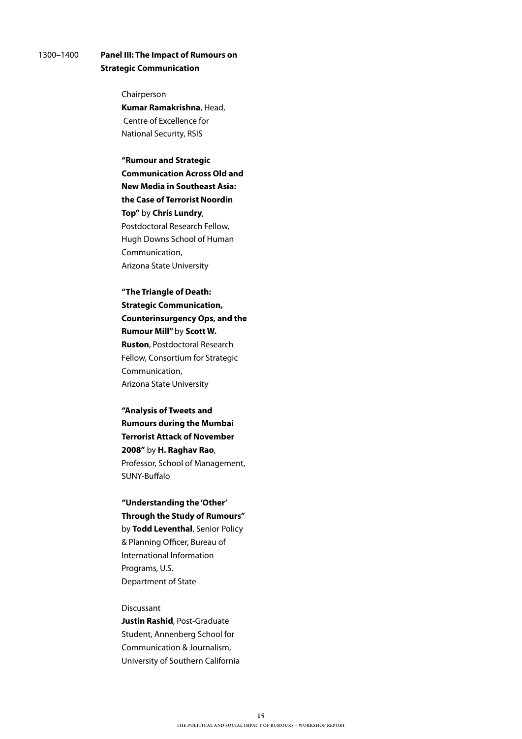#### 1300–1400 **Panel III: The Impact of Rumours on Strategic Communication**

#### Chairperson

 **Kumar Ramakrishna**, Head, Centre of Excellence for National Security, RSIS

 **"Rumour and Strategic Communication Across Old and New Media in Southeast Asia: the Case of Terrorist Noordin Top"** by **Chris Lundry**, Postdoctoral Research Fellow, Hugh Downs School of Human Communication, Arizona State University

 **"The Triangle of Death: Strategic Communication, Counterinsurgency Ops, and the Rumour Mill"** by **Scott W. Ruston**, Postdoctoral Research Fellow, Consortium for Strategic Communication, Arizona State University

 **"Analysis of Tweets and Rumours during the Mumbai Terrorist Attack of November 2008"** by **H. Raghav Rao**, Professor, School of Management, SUNY-Buffalo

 **"Understanding the 'Other' Through the Study of Rumours"** by **Todd Leventhal**, Senior Policy & Planning Officer, Bureau of International Information

 Programs, U.S. Department of State

#### Discussant

 **Justin Rashid**, Post-Graduate Student, Annenberg School for Communication & Journalism, University of Southern California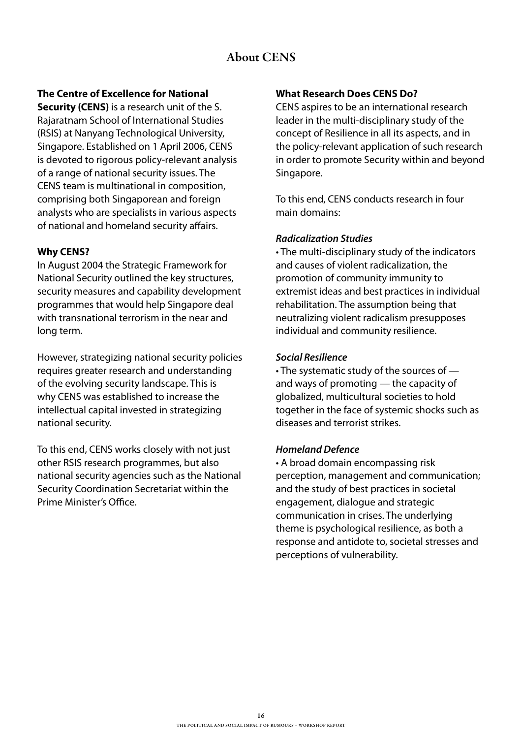# About CENS

**The Centre of Excellence for National** 

**Security (CENS)** is a research unit of the S. Rajaratnam School of International Studies (RSIS) at Nanyang Technological University, Singapore. Established on 1 April 2006, CENS is devoted to rigorous policy-relevant analysis of a range of national security issues. The CENS team is multinational in composition, comprising both Singaporean and foreign analysts who are specialists in various aspects of national and homeland security affairs.

#### **Why CENS?**

In August 2004 the Strategic Framework for National Security outlined the key structures, security measures and capability development programmes that would help Singapore deal with transnational terrorism in the near and long term.

However, strategizing national security policies requires greater research and understanding of the evolving security landscape. This is why CENS was established to increase the intellectual capital invested in strategizing national security.

To this end, CENS works closely with not just other RSIS research programmes, but also national security agencies such as the National Security Coordination Secretariat within the Prime Minister's Office.

#### **What Research Does CENS Do?**

CENS aspires to be an international research leader in the multi-disciplinary study of the concept of Resilience in all its aspects, and in the policy-relevant application of such research in order to promote Security within and beyond Singapore.

To this end, CENS conducts research in four main domains:

#### *Radicalization Studies*

• The multi-disciplinary study of the indicators and causes of violent radicalization, the promotion of community immunity to extremist ideas and best practices in individual rehabilitation. The assumption being that neutralizing violent radicalism presupposes individual and community resilience.

#### *Social Resilience*

• The systematic study of the sources of and ways of promoting — the capacity of globalized, multicultural societies to hold together in the face of systemic shocks such as diseases and terrorist strikes.

#### *Homeland Defence*

• A broad domain encompassing risk perception, management and communication; and the study of best practices in societal engagement, dialogue and strategic communication in crises. The underlying theme is psychological resilience, as both a response and antidote to, societal stresses and perceptions of vulnerability.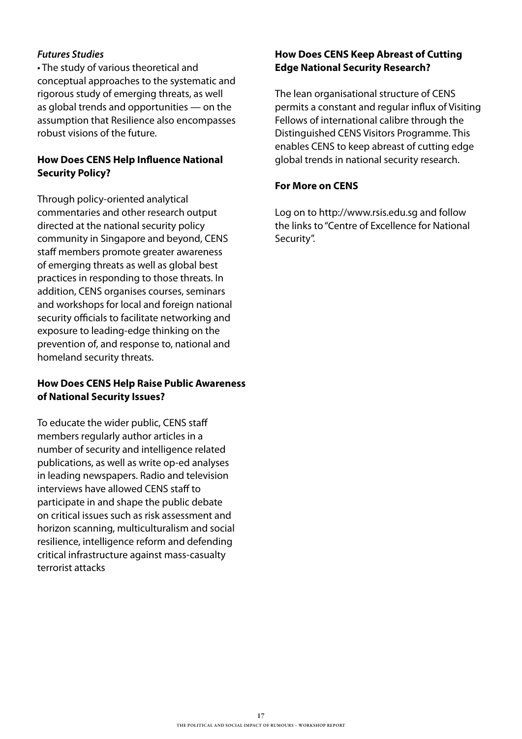#### *Futures Studies*

• The study of various theoretical and conceptual approaches to the systematic and rigorous study of emerging threats, as well as global trends and opportunities — on the assumption that Resilience also encompasses robust visions of the future.

### **How Does CENS Help Influence National Security Policy?**

Through policy-oriented analytical commentaries and other research output directed at the national security policy community in Singapore and beyond, CENS staff members promote greater awareness of emerging threats as well as global best practices in responding to those threats. In addition, CENS organises courses, seminars and workshops for local and foreign national security officials to facilitate networking and exposure to leading-edge thinking on the prevention of, and response to, national and homeland security threats.

#### **How Does CENS Help Raise Public Awareness of National Security Issues?**

To educate the wider public, CENS staff members regularly author articles in a number of security and intelligence related publications, as well as write op-ed analyses in leading newspapers. Radio and television interviews have allowed CENS staff to participate in and shape the public debate on critical issues such as risk assessment and horizon scanning, multiculturalism and social resilience, intelligence reform and defending critical infrastructure against mass-casualty terrorist attacks

#### **How Does CENS Keep Abreast of Cutting Edge National Security Research?**

The lean organisational structure of CENS permits a constant and regular influx of Visiting Fellows of international calibre through the Distinguished CENS Visitors Programme. This enables CENS to keep abreast of cutting edge global trends in national security research.

#### **For More on CENS**

Log on to http://www.rsis.edu.sg and follow the links to "Centre of Excellence for National Security".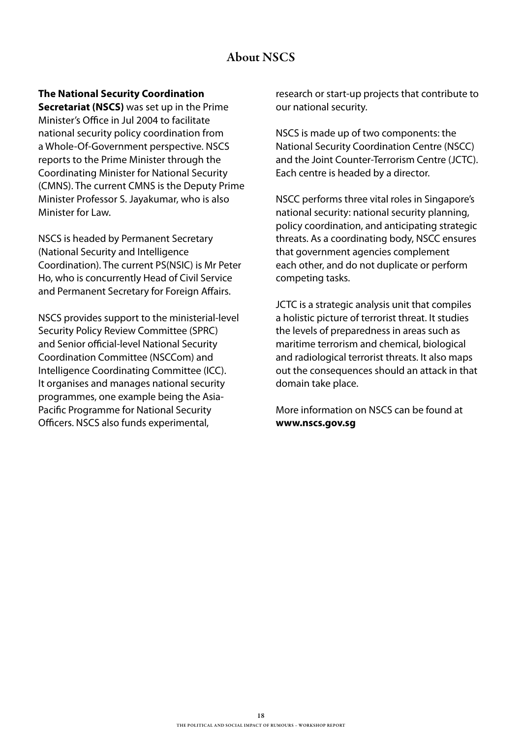# About NSCS

#### **The National Security Coordination**

**Secretariat (NSCS)** was set up in the Prime Minister's Office in Jul 2004 to facilitate national security policy coordination from a Whole-Of-Government perspective. NSCS reports to the Prime Minister through the Coordinating Minister for National Security (CMNS). The current CMNS is the Deputy Prime Minister Professor S. Jayakumar, who is also Minister for Law.

NSCS is headed by Permanent Secretary (National Security and Intelligence Coordination). The current PS(NSIC) is Mr Peter Ho, who is concurrently Head of Civil Service and Permanent Secretary for Foreign Affairs.

NSCS provides support to the ministerial-level Security Policy Review Committee (SPRC) and Senior official-level National Security Coordination Committee (NSCCom) and Intelligence Coordinating Committee (ICC). It organises and manages national security programmes, one example being the Asia-Pacific Programme for National Security Officers. NSCS also funds experimental,

research or start-up projects that contribute to our national security.

NSCS is made up of two components: the National Security Coordination Centre (NSCC) and the Joint Counter-Terrorism Centre (JCTC). Each centre is headed by a director.

NSCC performs three vital roles in Singapore's national security: national security planning, policy coordination, and anticipating strategic threats. As a coordinating body, NSCC ensures that government agencies complement each other, and do not duplicate or perform competing tasks.

JCTC is a strategic analysis unit that compiles a holistic picture of terrorist threat. It studies the levels of preparedness in areas such as maritime terrorism and chemical, biological and radiological terrorist threats. It also maps out the consequences should an attack in that domain take place.

More information on NSCS can be found at **www.nscs.gov.sg**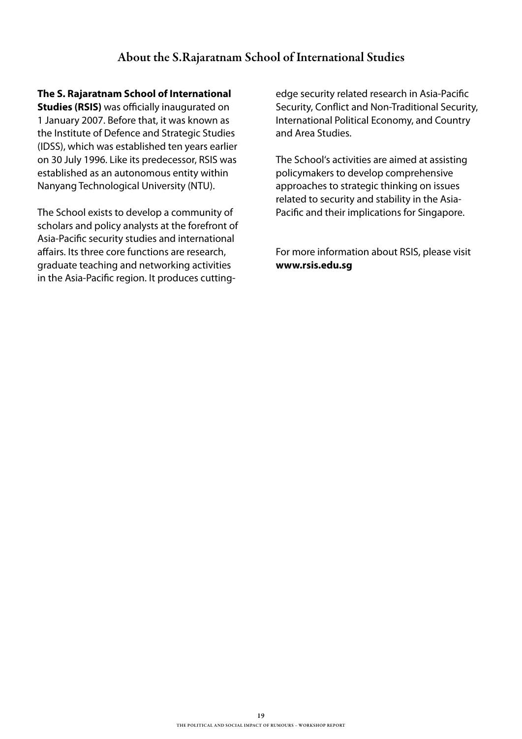### About the S.Rajaratnam School of International Studies

#### **The S. Rajaratnam School of International**

**Studies (RSIS)** was officially inaugurated on 1 January 2007. Before that, it was known as the Institute of Defence and Strategic Studies (IDSS), which was established ten years earlier on 30 July 1996. Like its predecessor, RSIS was established as an autonomous entity within Nanyang Technological University (NTU).

The School exists to develop a community of scholars and policy analysts at the forefront of Asia-Pacific security studies and international affairs. Its three core functions are research, graduate teaching and networking activities in the Asia-Pacific region. It produces cuttingedge security related research in Asia-Pacific Security, Conflict and Non-Traditional Security, International Political Economy, and Country and Area Studies.

The School's activities are aimed at assisting policymakers to develop comprehensive approaches to strategic thinking on issues related to security and stability in the Asia-Pacific and their implications for Singapore.

For more information about RSIS, please visit **www.rsis.edu.sg**